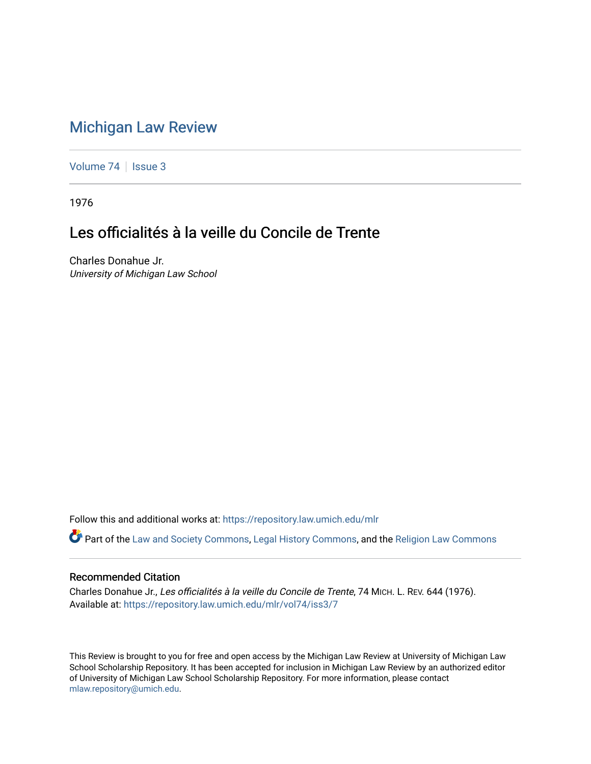## [Michigan Law Review](https://repository.law.umich.edu/mlr)

[Volume 74](https://repository.law.umich.edu/mlr/vol74) | [Issue 3](https://repository.law.umich.edu/mlr/vol74/iss3)

1976

# Les officialités à la veille du Concile de Trente

Charles Donahue Jr. University of Michigan Law School

Follow this and additional works at: [https://repository.law.umich.edu/mlr](https://repository.law.umich.edu/mlr?utm_source=repository.law.umich.edu%2Fmlr%2Fvol74%2Fiss3%2F7&utm_medium=PDF&utm_campaign=PDFCoverPages) 

Part of the [Law and Society Commons](http://network.bepress.com/hgg/discipline/853?utm_source=repository.law.umich.edu%2Fmlr%2Fvol74%2Fiss3%2F7&utm_medium=PDF&utm_campaign=PDFCoverPages), [Legal History Commons,](http://network.bepress.com/hgg/discipline/904?utm_source=repository.law.umich.edu%2Fmlr%2Fvol74%2Fiss3%2F7&utm_medium=PDF&utm_campaign=PDFCoverPages) and the [Religion Law Commons](http://network.bepress.com/hgg/discipline/872?utm_source=repository.law.umich.edu%2Fmlr%2Fvol74%2Fiss3%2F7&utm_medium=PDF&utm_campaign=PDFCoverPages) 

## Recommended Citation

Charles Donahue Jr., Les officialités à la veille du Concile de Trente, 74 MICH. L. REV. 644 (1976). Available at: [https://repository.law.umich.edu/mlr/vol74/iss3/7](https://repository.law.umich.edu/mlr/vol74/iss3/7?utm_source=repository.law.umich.edu%2Fmlr%2Fvol74%2Fiss3%2F7&utm_medium=PDF&utm_campaign=PDFCoverPages)

This Review is brought to you for free and open access by the Michigan Law Review at University of Michigan Law School Scholarship Repository. It has been accepted for inclusion in Michigan Law Review by an authorized editor of University of Michigan Law School Scholarship Repository. For more information, please contact [mlaw.repository@umich.edu.](mailto:mlaw.repository@umich.edu)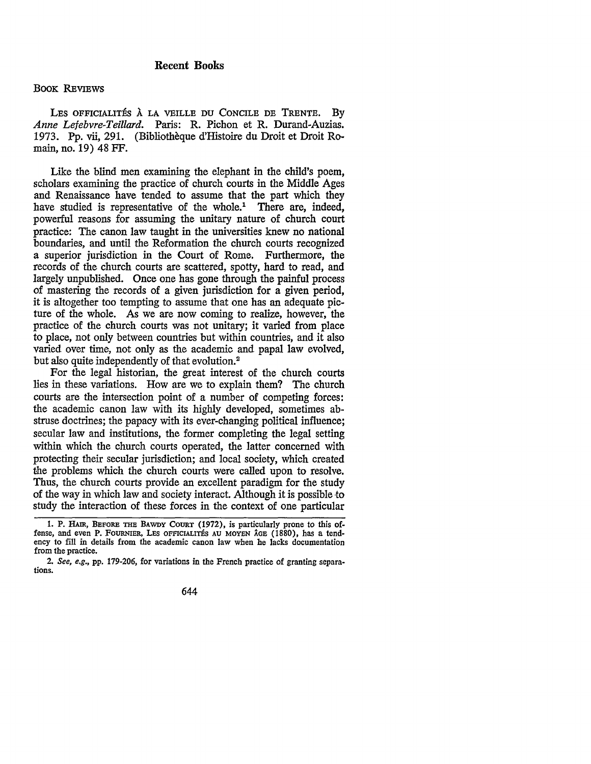### BOOK REVIEWS

LES OFFICIALITÉS À LA VEILLE DU CONCILE DE TRENTE. BY *Anne Lefebvre-Teillard.* Paris: R. Pichon et R. Durand-Auzias. 1973. Pp. vii, 291. (Bibliotheque d'Histoire du Droit et Droit Romain, no. 19) 48 FF.

Like the blind men examining the elephant in the child's poem, scholars examining the practice of church courts in the Middle Ages and Renaissance have tended to assume that the part which they have studied is representative of the whole.<sup>1</sup> There are, indeed, powerful reasons for assuming the unitary nature of church court practice: The canon law taught in the universities knew no national boundaries, and until the Reformation the church courts recognized a superior jurisdiction in the Court of Rome. Furthermore, the records of the church courts are scattered, spotty, hard to read, and largely unpublished. Once one has gone through the painful process of mastering the records of a given jurisdiction for a given period, it is altogether too tempting to assume that one has an adequate picture of the whole. As we are now coming to realize, however, the practice of the church courts was not unitary; it varied from place to place, not only between countries but within countries, and it also varied over time, not only as the academic and papal law evolved, but also quite independently of that evolution.<sup>2</sup>

For the legal historian, the great interest of the church courts lies in these variations. How are we to explain them? The church courts are the intersection point of a number of competing forces: the academic canon law with its highly developed, sometimes abstruse doctrines; the papacy with its ever-changing political influence; secular law and institutions, the former completing the legal setting within which the church courts operated, the latter concerned with protecting their secular jurisdiction; and local society, which created the problems which the church courts were called upon to resolve. Thus, the church courts provide an excellent paradigm for the study of the way in which law and society interact. Although it is possible •to study the interaction of these forces in the context of one particular

<sup>2.</sup> *See, e.g.,* pp. 179-206, for variations in the French practice of granting separations.



<sup>1.</sup> P. HAIR, BEFORE TIIE BAWDY COURT (1972), is particularly prone to this offense, and even P. FOURNIER, LES OFFICIALITES AU MOYEN AGE (1880), has a tendency to fill in details from the academic canon law when he lacks documentation from the practice.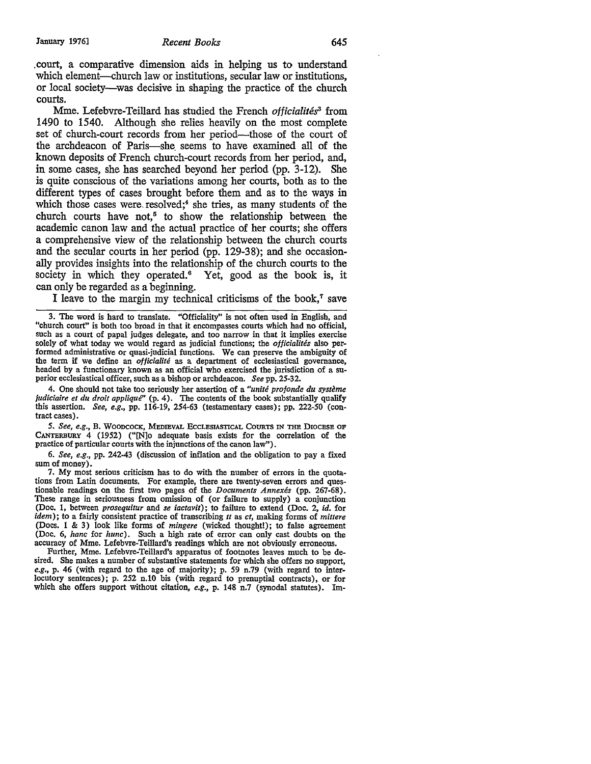.court, a comparative dimension aids in helping us to understand which element—church law or institutions, secular law or institutions, or local society-was decisive in shaping the practice of the church courts.

Mme. Lefebvre-Teillard has studied the French *officialités<sup>3</sup>* from 1490 to 1540. Although she relies heavily on the most complete set of church-court records from her period-those of the court of the archdeacon of Paris-she. seems to have examined all of the known deposits of French church-court records from her period, and, in some cases, she has searched beyond her period (pp. 3-12). She is quite conscious of the variations among her courts, both as to the different types of cases brought before them and as to the ways in which those cases were resolved;<sup>4</sup> she tries, as many students of the church courts have not,<sup> $5$ </sup> to show the relationship between the academic canon law and the actual practice of her courts; she offers a comprehensive view of the relationship between the church courts and the secular courts in her period (pp. 129-38); and she occasionally provides insights into the relationship of the church courts to the society in which they operated. $6$  Yet, good as the book is, it can only be regarded as a beginning.

I leave to the margin my technical criticisms of the book, $<sup>7</sup>$  save</sup>

4. One should not take too seriously her assertion of a *"unite profonde du systeme Judiciaire et du droit applique"* (p. 4). The contents of the book substantially qualify this assertion. *See, e.g.,* pp. 116-19, 254-63 (testamentary cases); pp. 222-50 (contract cases).

5. See, e.g., B. WOODCOCK, MEDIEVAL ECCLESIASTICAL COURTS IN THE DIOCESE OF CANTERBURY 4 (1952) ("[N]o adequate basis exists for the correlation of the practice of particular courts with the injunctions of the canon law").

6. *See, e.g.,* pp. 242-43 (discussion of inflation and the obligation to pay a fixed sum of money).

7. My most serious criticism has to do with the number of errors in the quotations from Latin documents. For example, there are twenty-seven errors and questionable readings on the first two pages of the *Documents Annexes* (pp. 267-68). These range in seriousness from omission of (or failure to supply) a conjunction (Doc, **1,** between *prosequitur* and *se iactavit);* to failure to extend (Doc. 2, *id.* for *idem);* to a fairly consistent practice of transcribing *tt* as *ct,* making forms of *mittere*  (Docs. 1 & 3) look like forms of *mingere* (wicked thought!); to false agreement (Doc. 6, *hanc* for *hunc).* Such a high rate of error can only cast doubts on the accuracy of Mme. Lefebvre-Teillard's readings which are not obviously erroneous.

Further, Mme. Lefebvre-Teillard's apparatus of footnotes leaves much to be desired. She makes a number of substantive statements for which she offers no support, *e.g.,* p. 46 (with regard to the age of majority); p. *59* n.79 (with regard to interlocutory sentences); p. 252 n.10 bis (with regard to prenuptial contracts), or for which she offers support without citation, *e.g.*, p. 148 n.7 (synodal statutes). Im-

<sup>3.</sup> The word is hard to translate. "Officiality" is not often used in English, and "church court" is both too broad in that it encompasses courts which had no official, such as a court of papal judges delegate, and too narrow in that it implies exercise solely of what today we would regard as judicial functions; the *officialites* also performed administrative or quasi-judicial functions. We can preserve the ambiguity of the term if we define an *officialité* as a department of ecclesiastical governance, headed by a functionary known as an official who exercised the jurisdiction of a su- perior ecclesiastical officer, such as a bishop or archdeacon. *See* pp. 25-32.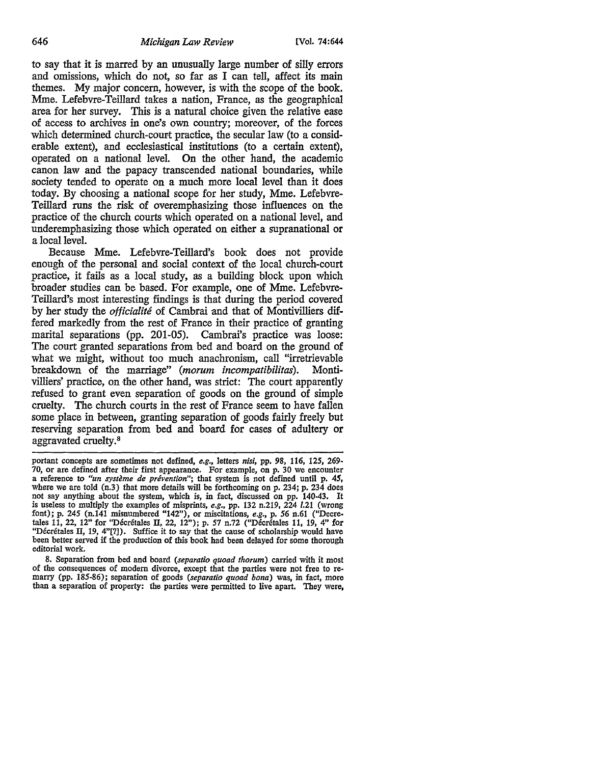to say that it is marred by an unusually large number of silly errors and omissions, which do not, so far as I can tell, affect its main themes. My major concern, however, is with the scope of the book. Mme. Lefebvre-Teillard takes a nation, France, as the geographical area for her survey. This is a natural choice given the relative ease of access to archives in one's own country; moreover, of the forces which determined church-court practice, the secular law (to a considerable extent), and ecclesiastical institutions (to a certain extent), operated on a national level. On the other hand, the academic canon law and the papacy transcended national boundaries, while society tended to operate on a much more local level than it does today. By choosing a national scope for her study, Mme. Lefebvre-Teillard runs the risk of overemphasizing those influences on the practice of the church courts which operated on a national level, and underemphasizing those which operated on either a supranational or a local level.

Because Mme. Lefebvre-Teillard's book does not provide enough of the personal and social context of the local church-court practice, it fails as a local study, as a building block upon which broader studies can be based. For example, one of Mme. Lefebvre-Teillard's most interesting findings is that during the period covered by her study the *officialite* of Cambrai and that of Montivilliers differed markedly from the rest of France in their practice of granting marital separations (pp. 201-05). Cambrai's practice was loose: The court granted separations from bed and board on the ground of what we might, without too much anachronism, call "irretrievable breakdown of the marriage" (morum incompatibilitas). Montivilliers' practice, on the other hand, was strict: The court apparently refused to grant even separation of goods on the ground of simple cruelty. The church courts in the rest of France seem to have fallen some place in between, granting separation of goods fairly freely but reserving separation from bed and board for cases of adultery or aggravated cruelty.<sup>8</sup>

8. Separation from bed and board *(separatio quoad thorum)* carried with it most of the consequences of modem divorce, except that the parties were not free to re- marry (pp. 185-86); separation of goods *(separatio quoad bona)* was, in fact, more than a separation of property: the parties were permitted to live apart. They were,

portant concepts are sometimes not defined, *e.g.,* letters *nisi,* pp. 98, 116, *125,* 269 a reference to *"un système de prévention"*; that system is not defined until p. 45, where we are told (n.3) that more details will be forthcoming on p. 234; p. 234 does not say anything about the system, which is, in fact, discussed on pp. 140-43. It is useless to multiply the examples of misprints, *e.g.,* pp. 132 n.219, 224 *1.21* (wrong font); p. *245* (n.141 misnumbered "142"), or miscitations, *e.g.,* p. *56* n.61 ("Decretales 11, 22, 12" for "Décrétales II, 22, 12"); p. 57 n.72 ("Décrétales 11, 19, 4" for "Décrétales II, 19, 4"[?]). Suffice it to say that the cause of scholarship would have been better served if the production of this book had been delayed for some thorough editorial work.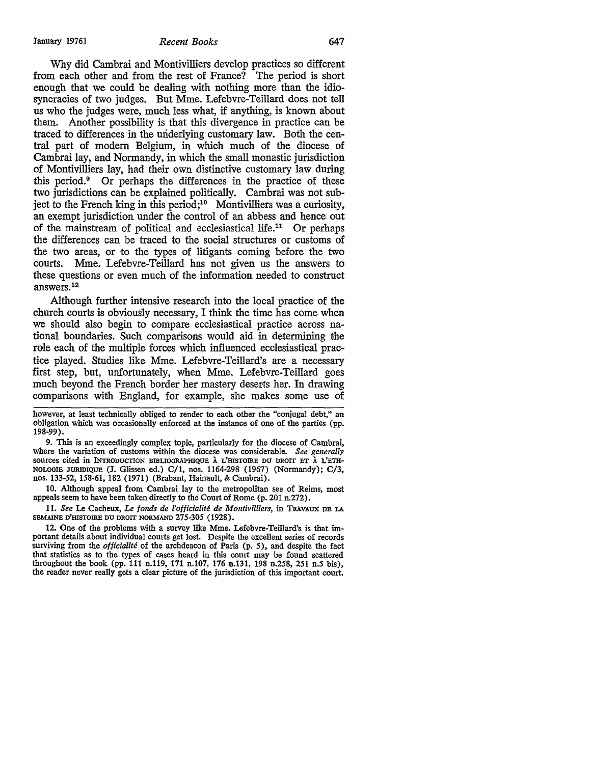Why did Cambrai and Montivilliers develop practices so different from each other and from the rest of France? The period is short enough that we could be dealing with nothing more than the idiosyncracies of two judges. But Mme. Lefebvre-Teillard does not tell us who the judges were, much less what, if anything, is known about them. Another possibility is that this divergence in practice can be traced to differences in the underlying customary law. Both the central part of modern Belgium, in which much of the diocese of Cambrai lay, and Normandy, in which the small monastic jurisdiction of Montivilliers lay, had their own distinctive customary law during this period.<sup>9</sup> Or perhaps the differences in the practice of these two jurisdictions can be explained politically. Cambrai was not subject to the French king in this period;<sup>10</sup> Montivilliers was a curiosity, an exempt jurisdiction under the control of an abbess and hence out of the mainstream of political and ecclesiastical life.<sup>11</sup> Or perhaps the differences can be traced to the social structures or customs of the two areas, or to the types of litigants coming before the two courts. Mme. Lefebvre-Teillard has not given us the answers to these questions or even much of the information needed to construct answers.12

Although further intensive research into the local practice of the church courts is obviously necessary, I think the time has come when we should also begin to compare ecclesiastical practice across national boundaries. Such comparisons would aid in determining the role each of the multiple forces which influenced ecclesiastical practice played. Studies like Mme. Lefebvre-Teillard's are a necessary first step, but, unfortunately, when Mme. Lefebvre-Teillard goes much beyond the French border her mastery deserts her. In drawing comparisons with England, for example, she makes some use of

however, at least technically obliged to render to each other the "conjugal debt," an obligation which was occasionally enforced at the instance of one of the parties (pp. 198-99).

9. This is an exceedingly complex topic, particularly for the diocese of Cambrai, where the variation of customs within the diocese was considerable. *See generally*  sources cited in INTRODUCTION BIBLIOGRAPHIQUE À L'HISTOIRE DU DROIT ET À L'ETH-NOLOGIE JURIDIQUE (J. Glissen ed.) C/1, nos. 1164-298 (1967) (Normandy); C/3, nos. 133-52, 158-61, 182 (1971) (Brabant, Hainault, & Cambrai).

10. Although appeal from Cambrai lay to the metropolitan see of Reims, most appeals seem to have been taken directly to the Court of Rome (p. 201 n.272).

11. *See* Le Cacheux, *Le fonds de l'officialite de Montivilliers,* in TRAVAUX DB LA SEMAINE D'HISTOIRE DU DROIT NORMAND 275-305 (1928).

12. One of the problems with a survey like Mme. Lefebvre-Teillard's is that important details about individual courts get lost. Despite the excellent series of records surviving from the *officialite* of the archdeacon of Paris (p. 5), and despite the fact that statistics as to the types of cases heard in this court may be found scattered throughout the book (pp. 111 n.119, 171 n.107, 176 n.131, 198 n.258, 251 n.5 bis), the reader never really gets a clear picture of the jurisdiction of this important court.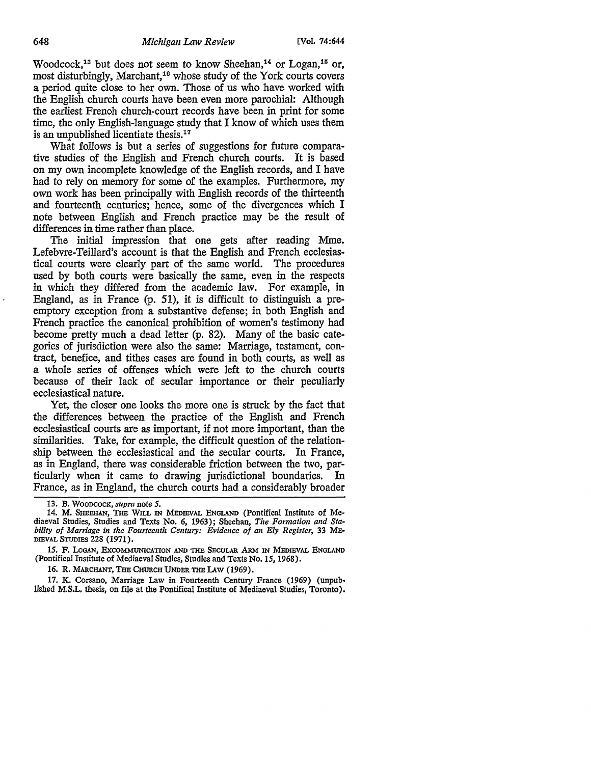Woodcock,<sup>13</sup> but does not seem to know Sheehan,<sup>14</sup> or Logan,<sup>15</sup> or, most disturbingly, Marchant, 16 whose study of the York courts covers a period quite close to her own. Those of us who have worked with the English church courts have been even more parochial: Although the earliest French church-court records have been in print for some time, the only English-language study that I know of which uses them is an unpublished licentiate thesis.<sup>17</sup>

What follows is but a series of suggestions for future comparative studies of the English and French church courts. It is based on my own incomplete knowledge of the English records, and I have had to rely on memory for some of the examples. Furthermore, my own work has been principally with English records of the thirteenth and fourteenth centuries; hence, some of the divergences which I note between English and French practice may be the result of differences in time rather than place.

The initial impression that one gets after reading Mme. Lefebvre-Teillard's account is that the English and French ecclesiastical courts were clearly part of the same world. The procedures used by both courts were basically the same, even in the respects in which they differed from the academic law. For example, in England, as in France (p. 51), it is difficult to distinguish a preemptory exception from a substantive defense; in both English and French practice the canonical prohibition of women's testimony had become pretty much a dead letter (p. 82). Many of the basic categories of jurisdiction were also the same: Marriage, testament, contract, benefice, and tithes cases are found in both courts, as well as a whole series of offenses which were left to the church courts because of their lack of secular importance or their peculiarly ecclesiastical nature.

Yet, the closer one looks the more one is struck by the fact that the differences between the practice of the English and French ecclesiastical courts are as important, if not more important, than the similarities. Take, for example, the difficult question of the relationship between the ecclesiastical and the secular courts. In France, as in England, there was considerable friction between the two, particularly when it came to drawing jurisdictional boundaries. In France, as in England, the church courts had a considerably broader

16. R. MARCHANT, THE CHURCH UNDER THE LAW (1969).

17. K. Corsano, Marriage Law in Fourteenth Century France (1969) (unpublished M.S.L. thesis, on file at the Pontifical Institute of Mediaeval Studies, Toronto).

<sup>13.</sup> B. WOODCOCK, *supra* note *5.* 

<sup>14.</sup> M. SHEEHAN, THE WILL IN MEDIBVAL ENGLAND (Pontifical Institute of Mediaeval Studies, Studies and Texts No. 6, 1963); Sheehan, *The Formation and Stability of Marriage in the Fourteenth Century: Evidence of an Ely Register,* 33 ME-DIEVAL STUDIES 228 (1971).

<sup>15.</sup> F. LoGAN, EXCOMMUNICATION AND THE SECULAR ARM IN MEDIEVAL ENGLAND (Pontifical Institute of Mediaeval Studies, Studies and Texts No. 15, 1968).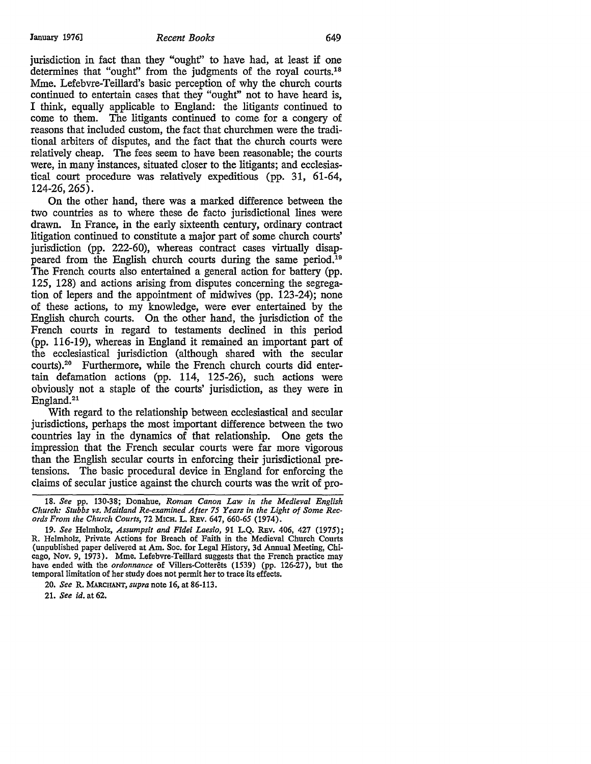#### January 1976] **Recent Books** 649

jurisdiction in fact than they "ought'' to have had, at least if one determines that "ought" from the judgments of the royal courts.18 Mme. Lefebvre-Teillard's basic perception of why the church courts continued to entertain cases that they "ought" not to have heard is, I think, equally applicable to England: the litigants continued to come to them. The litigants continued to come for a congery of reasons that included custom, the fact that churchmen were the traditional arbiters of disputes, and the fact that the church courts were relatively cheap. The fees seem to have been reasonable; the courts were, in many instances, situated closer to the litigants; and ecclesiastical court procedure was relatively expeditious (pp. 31, 61-64, 124-26, 265).

On the other hand, there was a marked difference between the two countries as to where these de facto jurisdictional lines were drawn. In France, in the early sixteenth century, ordinary contract litigation continued to constitute a major part of some church courts' jurisdiction (pp. 222-60), whereas contract cases virtually disappeared from the English church courts during the same period.<sup>19</sup> The French courts also entertained a general action for battery (pp. 125, 128) and actions arising from disputes concerning the segregation of lepers and the appointment of midwives (pp. 123-24); none of these actions, to my knowledge, were ever entertained by the English church courts. On the other hand, the jurisdiction of the French courts in regard to testaments declined in this period (pp. 116-19), whereas in England it remained an important part of the ecclesiastical jurisdiction (although shared with the secular courts).<sup>2</sup> ° Furthermore, while the French church courts did entertain defamation actions (pp. 114, 125-26), such actions were obviously not a staple of the courts' jurisdiction, as they were in England.<sup>21</sup>

With regard to the relationship between ecclesiastical and secular jurisdictions, perhaps the most important difference between the two countries lay in the dynamics of that relationship. One gets the impression that the French secular courts were far more vigorous than the English secular courts in enforcing their jurisdictional pretensions. The basic procedural device in England for enforcing the claims of secular justice against the church courts was the writ of pro-

<sup>18.</sup> *See* pp. 130-38; Donahue, *Roman Canon Law in the Medieval English Church: Stubbs vs. Maitland Re-examined After 75 Years in the Light of Some Records From the Church Courts,* 72 MICH. L. REv. 647, 660-65 (1974).

<sup>19.</sup> *See* Helmholz, *Assumpsit and Fidei Laesio,* 91 L.Q. REv. 406, 427 (1975); R. Helmholz, Private Actions for Breach of Faith in the Medieval Church Courts (unpublished paper delivered at Am. Soc. for Legal History, 3d Annual Meeting, Chicago, Nov. 9, 1973). Mme. Lefebvre-Teillard suggests that the French practice may have ended with the *ordonnance* of Villers-Cotterets (1539) (pp. 126-27), but the temporal limitation of her study does not permit her to trace its effects.

<sup>20.</sup> *See* R. MARCHANT, *supra* note 16, at 86-113.

<sup>21.</sup> *See id.* at 62.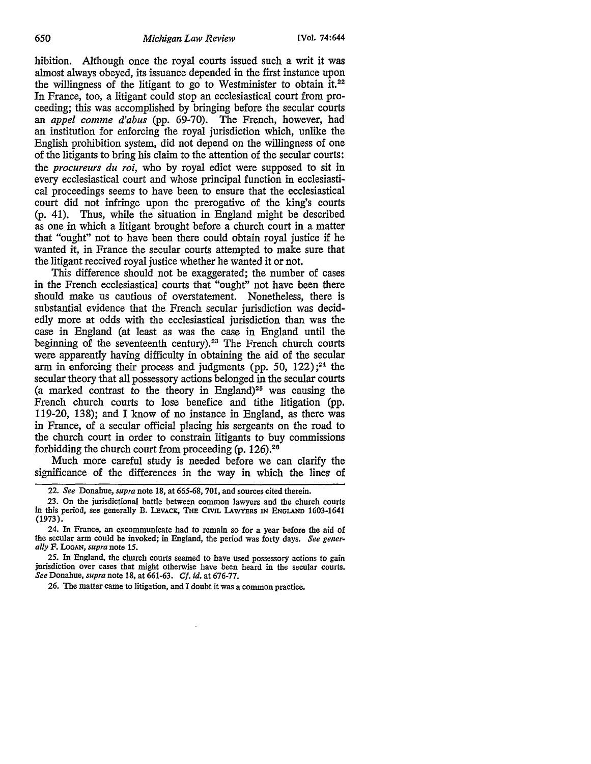hibition. Although once the royal courts issued such a *writ* it was almost always obeyed, its issuance depended in the first instance upon the willingness of the litigant to go to Westminister to obtain it.<sup>22</sup> In France, too, a litigant could stop an ecclesiastical court from proceeding; this was accomplished by bringing before the secular courts an *appel comme d'abus* (pp. 69-70). The French, however, had an institution for enforcing the royal jurisdiction which, unlike the English prohibition system, did not depend on the willingness of one of the litigants to bring his claim to the attention of the secular courts: the *procureurs du roi,* who by royal edict were supposed to sit in every ecclesiastical court and whose principal function in ecclesiastical proceedings seems to have been to ensure that the ecclesiastical court did not infringe upon the prerogative of the king's courts (p. 41). Thus, while the situation in England might be described as one in which a litigant brought before a church court in a matter that "ought" not to have been there could obtain royal justice if he wanted it, in France the secular courts attempted to make sure that the litigant received royal justice whether he wanted it or not.

This difference should not be exaggerated; the number of cases in the French ecclesiastical courts that "ought" not have been there should make us cautious of overstatement. Nonetheless, there is substantial evidence that the French secular jurisdiction was decidedly more at odds with the ecclesiastical jurisdiction than was the case in England (at least as was the case in England until the beginning of the seventeenth century).<sup>23</sup> The French church courts were apparently having difficulty in obtaining the aid of the secular arm in enforcing their process and judgments (pp. 50, 122) ; 24 the secular theory that all possessory actions belonged in the secular courts (a marked contrast to the theory in England)<sup>25</sup> was causing the French church courts to lose benefice and tithe litigation (pp. 119-20, 138); and I know of no instance in England, as there was in France, of a secular official placing his sergeants on the road to the church court in order to constrain litigants to buy commissions forbidding the church court from proceeding  $(p. 126)^{28}$ 

Much more careful study is needed before we can clarify the significance of the differences in the way in which the lines of

25. In England, the church courts seemed to have used possessory actions to gain jurisdiction over cases that might otherwise have been heard in the secular courts. *See* Donahue, *supra* note 18, at 661-63. *Cf. id.* at 676-77.

26. The matter came to litigation, and I doubt it was a common practice.

<sup>22.</sup> *See* Donahue, *supra* note 18, at *665-68,* 701, and sources cited therein.

<sup>23.</sup> On the jurisdictional battle between common lawyers and the church courts in this period, see generally B. LEVACK, THE CIVIL LAWYERS IN ENGLAND 1603-1641 (1973).

<sup>24.</sup> In France, an excommunicate had to remain so for a year before the aid of the secular arm could be invoked; in England, the period was forty days. *See generally* F. LooAN, *supra* note *15.*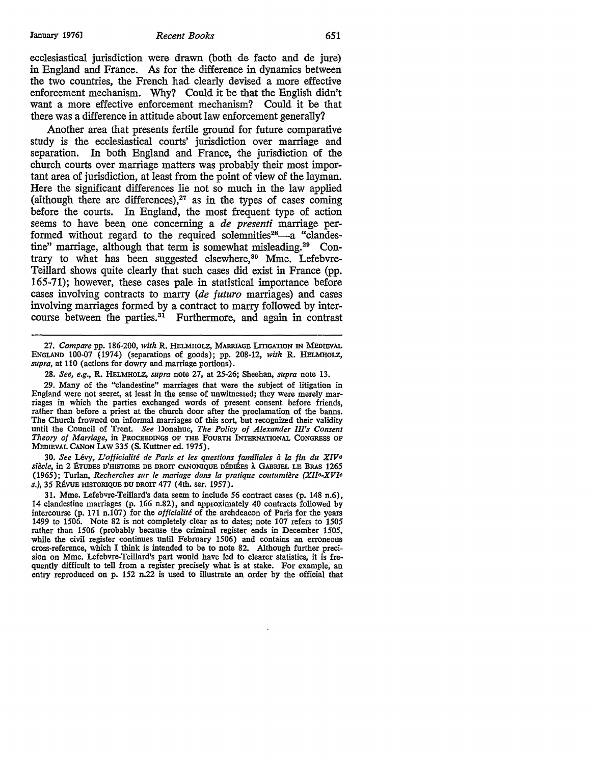ecclesiastical jurisdiction were drawn (both de facto and de jure) in England and France. As for the difference in dynamics between the two countries, the French had clearly devised a more effective enforcement mechanism. Why? Could it be that the English didn't want a more effective enforcement mechanism? Could it be that there was a difference in attitude about law enforcement generally?

Another area that presents fertile ground for future comparative study is the ecclesiastical courts' jurisdiction over marriage and separation. In both England and France, the jurisdiction of the church courts over marriage matters was probably their most important area of jurisdiction, at least from the point of view of the layman. Here the significant differences lie not so much in the law applied (although there are differences), $27$  as in the types of cases coming before the courts. In England, the most frequent type of action seems to have been one concerning a *de presenti* marriage performed without regard to the required solemnities<sup>28</sup> $-$ -a "clandestine" marriage, although that term is somewhat misleading.<sup>29</sup> Contrary to what has been suggested elsewhere,<sup>30</sup> Mme. Lefebvre-Teillard shows quite clearly that such cases did exist in France (pp. 165-71); however, these cases pale in statistical importance before cases involving contracts to marry *(de futuro* marriages) and cases involving marriages formed by a contract to marry followed by intercourse between the parties.<sup>31</sup> Furthermore, and again in contrast

27. *Compare* pp. 186-200, *with* R. HELMHOLZ, MARRIAGE LITIGATION IN MEDIEVAL ENGLAND 100-07 (1974) (separations of goods); pp. 208-12, *with* R. HELMHOLZ, *supra,* at 110 (actions for dowry and marriage portions).

28. *See, e.g.,* **R.** HELMHOLZ, *supra* note 27, at 25-26; Sheehan, *supra* note 13.

29. Many of the "clandestine" marriages that were the subject of litigation in England were not secret, at least in the sense of unwitnessed; they were merely marriages in which the parties exchanged words of present consent before friends, rather than before a priest at the church door after the proclamation of the banns. The Church frowned on informal marriages of this sort, but recognized their validity until the Council of Trent. *See* Donahue, *The Policy of Alexander Ill's Consent Theory of Marriage,* in PROCEEDINGS OF THE FOURTH INTERNATIONAL CONGRESS OF MEDIEVAL CANON LAW 335 (S. Kuttner ed. 1975).

30. *See* Levy, *L'officialite de Paris et les questions familiales* il *la fin du XIVe siecle,* in 2 ETUDES D'HISTOIRE DE DROIT CANONIQUE DEDIEES A GABRIEL LB BRAS 1265 (1965); Turlan, *Recherches sur le mariage dans la pratique coutumiere (Xlle-XV[e*  s.), 35 RÉVUE HISTORIQUE DU DROIT 477 (4th. ser. 1957).

31. Mme. Lefebvre-Teillard's data seem to include 56 contract cases (p. 148 n.6), 14 clandestine marriages (p. 166 n.82), and approximately 40 contracts followed by intercourse (p. 171 n.107) for the *officialite* of the archdeacon of Paris for the years 1499 to 1506. Note 82 is not completely clear as to dates; note 107 refers to 1505 rather than 1506 (probably because the criminal register ends in December 1505, while the civil register continues until February 1506) and contains an erroneous cross-reference, which I think is intended to be to note 82. Although further precision on Mme. Lefebvre-Teillard's part would have led to clearer statistics, it is frequently difficult to tell from a register precisely what is at stake. For example, an entry reproduced on p. 152 n.22 is used to illustrate an order by the official that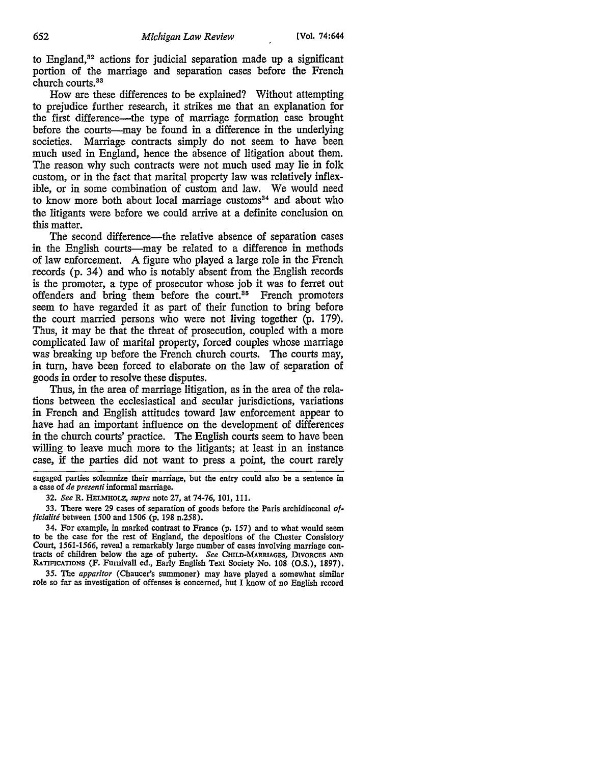to England, 32 actions for judicial separation made up a significant portion of the marriage and separation cases before the French church courts.<sup>33</sup>

How are these differences to be explained? Without attempting to prejudice further research, it strikes me that an explanation for the first difference-the type of marriage formation case brought before the courts-may be found in a difference in the underlying societies. Marriage contracts simply do not seem to have been much used in England, hence the absence of litigation about them. The reason why such contracts were not much used may lie in folk custom, or in the fact that marital property law was relatively inflexible, or in some combination of custom and law. We would need to know more both about local marriage customs<sup>34</sup> and about who the litigants were before we could arrive at a definite conclusion on this matter.

The second difference—the relative absence of separation cases in the English courts—may be related to a difference in methods of law enforcement. A figure who played a large role in the French records (p. 34) and who is notably absent from the English records is the promoter, a type of prosecutor whose job it was to ferret out offenders and bring them before the court.<sup>35</sup> French promoters seem to have regarded it as part of their function to bring before the court married persons who were not living together (p. 179). Thus, it may be that the threat of prosecution, coupled with a more complicated law of marital property, forced couples whose marriage was breaking up before the French church courts. The courts may, in turn, have been forced to elaborate on the law of separation of goods in order to resolve these disputes.

Thus, in the area of marriage litigation, as in the area of the relations between the ecclesiastical and secular jurisdictions, variations in French and English attitudes toward law enforcement appear to have had an important influence on the development of differences in the church courts' practice. The English courts seem to have been willing to leave much more to the litigants; at least in an instance case, if the parties did not want to press a point, the court rarely

engaged parties solemnize their marriage, but the entry could also be a sentence in a case of *de presenti* informal marriage.

<sup>32.</sup> *See* R. HELMHOLZ, *supra* note 27, at 74-76, 101, 111.

<sup>33.</sup> There were 29 cases of separation of goods before the Paris archidiaconal *officialite* between 1500 and 1506 (p. 198 n.258).

<sup>34.</sup> For example, in marked contrast to France (p. 157) and to what would seem to be the case for the rest of England, the depositions of the Chester Consistory Court, 1561-1566, reveal a remarkably large number of cases in tracts of children below the age of puberty. *See CHILD-MARRIAGES*, DIVORCES AND RATIFICATIONS (F. Fumivall ed., Early English Text Society No. 108 (O.S.), 1897).

<sup>35.</sup> The *apparitor* (Chaucer's summoner) may have played a somewhat similar role so far as investigation of offenses is concerned, but I know of no English record